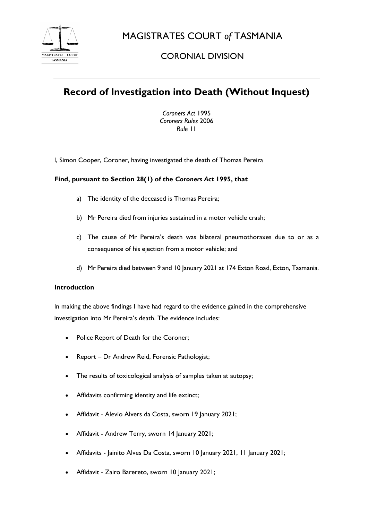

MAGISTRATES COURT *of* TASMANIA

# CORONIAL DIVISION

# **Record of Investigation into Death (Without Inquest)**

*Coroners Act* 1995 *Coroners Rules* 2006 *Rule* 11

I, Simon Cooper, Coroner, having investigated the death of Thomas Pereira

## **Find, pursuant to Section 28(1) of the** *Coroners Act* **1995, that**

- a) The identity of the deceased is Thomas Pereira;
- b) Mr Pereira died from injuries sustained in a motor vehicle crash;
- c) The cause of Mr Pereira's death was bilateral pneumothoraxes due to or as a consequence of his ejection from a motor vehicle; and
- d) Mr Pereira died between 9 and 10 January 2021 at 174 Exton Road, Exton, Tasmania.

#### **Introduction**

In making the above findings I have had regard to the evidence gained in the comprehensive investigation into Mr Pereira's death. The evidence includes:

- Police Report of Death for the Coroner;
- Report Dr Andrew Reid, Forensic Pathologist;
- The results of toxicological analysis of samples taken at autopsy;
- Affidavits confirming identity and life extinct;
- Affidavit Alevio Alvers da Costa, sworn 19 January 2021;
- Affidavit Andrew Terry, sworn 14 January 2021;
- Affidavits Jainito Alves Da Costa, sworn 10 January 2021, 11 January 2021;
- Affidavit Zairo Barereto, sworn 10 January 2021;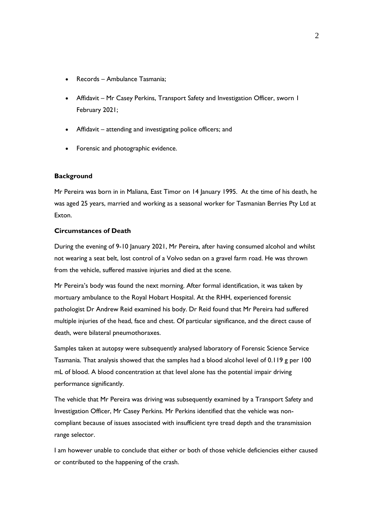- Records Ambulance Tasmania;
- Affidavit Mr Casey Perkins, Transport Safety and Investigation Officer, sworn I February 2021;
- Affidavit attending and investigating police officers; and
- Forensic and photographic evidence.

#### **Background**

Mr Pereira was born in in Maliana, East Timor on 14 January 1995. At the time of his death, he was aged 25 years, married and working as a seasonal worker for Tasmanian Berries Pty Ltd at Exton.

#### **Circumstances of Death**

During the evening of 9-10 January 2021, Mr Pereira, after having consumed alcohol and whilst not wearing a seat belt, lost control of a Volvo sedan on a gravel farm road. He was thrown from the vehicle, suffered massive injuries and died at the scene.

Mr Pereira's body was found the next morning. After formal identification, it was taken by mortuary ambulance to the Royal Hobart Hospital. At the RHH, experienced forensic pathologist Dr Andrew Reid examined his body. Dr Reid found that Mr Pereira had suffered multiple injuries of the head, face and chest. Of particular significance, and the direct cause of death, were bilateral pneumothoraxes.

Samples taken at autopsy were subsequently analysed laboratory of Forensic Science Service Tasmania. That analysis showed that the samples had a blood alcohol level of 0.119 g per 100 mL of blood. A blood concentration at that level alone has the potential impair driving performance significantly.

The vehicle that Mr Pereira was driving was subsequently examined by a Transport Safety and Investigation Officer, Mr Casey Perkins. Mr Perkins identified that the vehicle was noncompliant because of issues associated with insufficient tyre tread depth and the transmission range selector.

I am however unable to conclude that either or both of those vehicle deficiencies either caused or contributed to the happening of the crash.